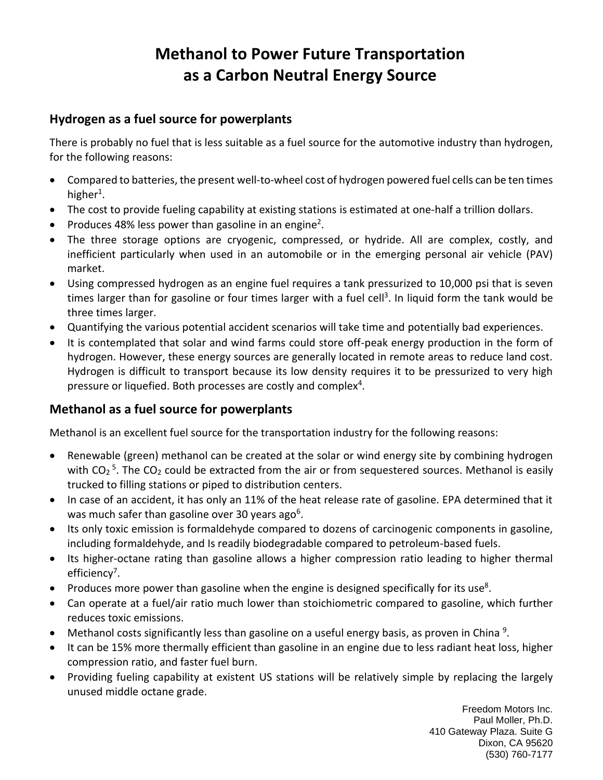# **Methanol to Power Future Transportation as a Carbon Neutral Energy Source**

#### **Hydrogen as a fuel source for powerplants**

There is probably no fuel that is less suitable as a fuel source for the automotive industry than hydrogen, for the following reasons:

- Compared to batteries, the present well-to-wheel cost of hydrogen powered fuel cells can be ten times higher<sup>1</sup>.
- The cost to provide fueling capability at existing stations is estimated at one-half a trillion dollars.
- Produces 48% less power than gasoline in an engine<sup>2</sup>.
- The three storage options are cryogenic, compressed, or hydride. All are complex, costly, and inefficient particularly when used in an automobile or in the emerging personal air vehicle (PAV) market.
- Using compressed hydrogen as an engine fuel requires a tank pressurized to 10,000 psi that is seven times larger than for gasoline or four times larger with a fuel cell<sup>3</sup>. In liquid form the tank would be three times larger.
- Quantifying the various potential accident scenarios will take time and potentially bad experiences.
- It is contemplated that solar and wind farms could store off-peak energy production in the form of hydrogen. However, these energy sources are generally located in remote areas to reduce land cost. Hydrogen is difficult to transport because its low density requires it to be pressurized to very high pressure or liquefied. Both processes are costly and complex<sup>4</sup>.

### **Methanol as a fuel source for powerplants**

Methanol is an excellent fuel source for the transportation industry for the following reasons:

- Renewable (green) methanol can be created at the solar or wind energy site by combining hydrogen with CO<sub>2</sub><sup>5</sup>. The CO<sub>2</sub> could be extracted from the air or from sequestered sources. Methanol is easily trucked to filling stations or piped to distribution centers.
- In case of an accident, it has only an 11% of the heat release rate of gasoline. EPA determined that it was much safer than gasoline over 30 years ago<sup>6</sup>.
- Its only toxic emission is formaldehyde compared to dozens of carcinogenic components in gasoline, including formaldehyde, and Is readily biodegradable compared to petroleum-based fuels.
- Its higher-octane rating than gasoline allows a higher compression ratio leading to higher thermal efficiency<sup>7</sup>.
- Produces more power than gasoline when the engine is designed specifically for its use<sup>8</sup>.
- Can operate at a fuel/air ratio much lower than stoichiometric compared to gasoline, which further reduces toxic emissions.
- Methanol costs significantly less than gasoline on a useful energy basis, as proven in China<sup>9</sup>.
- It can be 15% more thermally efficient than gasoline in an engine due to less radiant heat loss, higher compression ratio, and faster fuel burn.
- Providing fueling capability at existent US stations will be relatively simple by replacing the largely unused middle octane grade.